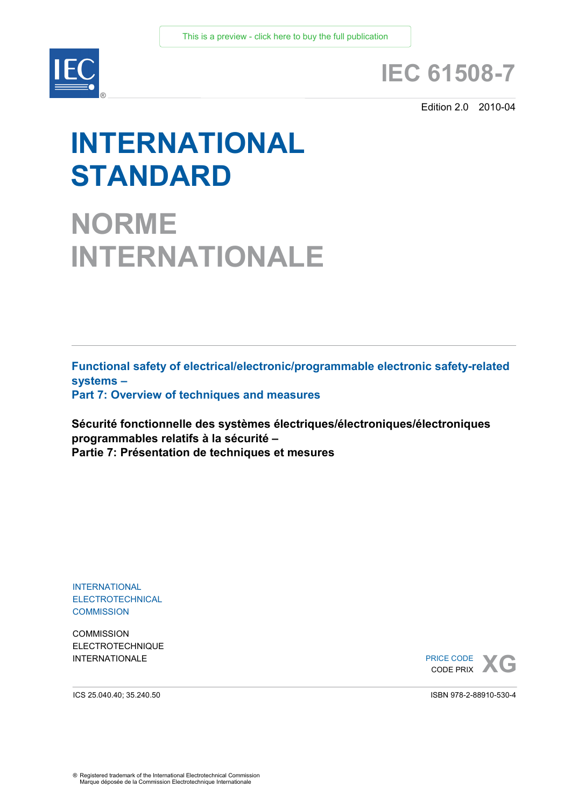

# **IEC 61508-7**

Edition 2.0 2010-04

# **INTERNATIONAL STANDARD**

**NORME INTERNATIONALE**

**Functional safety of electrical/electronic/programmable electronic safety-related systems – Part 7: Overview of techniques and measures** 

**Sécurité fonctionnelle des systèmes électriques/électroniques/électroniques programmables relatifs à la sécurité – Partie 7: Présentation de techniques et mesures** 

INTERNATIONAL ELECTROTECHNICAL **COMMISSION** 

**COMMISSION** ELECTROTECHNIQUE



ICS 25.040.40; 35.240.50

ISBN 978-2-88910-530-4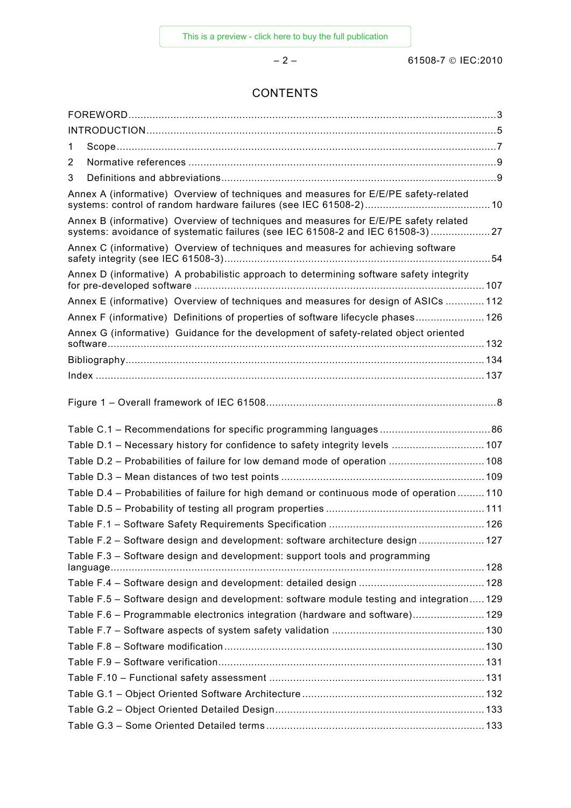# **CONTENTS**

| 1 |                                                                                                                                                                      |  |
|---|----------------------------------------------------------------------------------------------------------------------------------------------------------------------|--|
| 2 |                                                                                                                                                                      |  |
| 3 |                                                                                                                                                                      |  |
|   | Annex A (informative) Overview of techniques and measures for E/E/PE safety-related                                                                                  |  |
|   | Annex B (informative) Overview of techniques and measures for E/E/PE safety related<br>systems: avoidance of systematic failures (see IEC 61508-2 and IEC 61508-3)27 |  |
|   | Annex C (informative) Overview of techniques and measures for achieving software                                                                                     |  |
|   | Annex D (informative) A probabilistic approach to determining software safety integrity                                                                              |  |
|   | Annex E (informative) Overview of techniques and measures for design of ASICs  112                                                                                   |  |
|   | Annex F (informative) Definitions of properties of software lifecycle phases 126                                                                                     |  |
|   | Annex G (informative) Guidance for the development of safety-related object oriented                                                                                 |  |
|   |                                                                                                                                                                      |  |
|   |                                                                                                                                                                      |  |
|   |                                                                                                                                                                      |  |
|   |                                                                                                                                                                      |  |
|   |                                                                                                                                                                      |  |
|   |                                                                                                                                                                      |  |
|   | Table D.1 - Necessary history for confidence to safety integrity levels  107                                                                                         |  |
|   | Table D.2 - Probabilities of failure for low demand mode of operation  108                                                                                           |  |
|   |                                                                                                                                                                      |  |
|   | Table D.4 - Probabilities of failure for high demand or continuous mode of operation  110                                                                            |  |
|   |                                                                                                                                                                      |  |
|   |                                                                                                                                                                      |  |
|   | Table F.2 - Software design and development: software architecture design  127                                                                                       |  |
|   | Table F.3 - Software design and development: support tools and programming                                                                                           |  |
|   |                                                                                                                                                                      |  |
|   | Table F.5 - Software design and development: software module testing and integration 129                                                                             |  |
|   | Table F.6 - Programmable electronics integration (hardware and software) 129                                                                                         |  |
|   |                                                                                                                                                                      |  |
|   |                                                                                                                                                                      |  |
|   |                                                                                                                                                                      |  |
|   |                                                                                                                                                                      |  |
|   |                                                                                                                                                                      |  |
|   |                                                                                                                                                                      |  |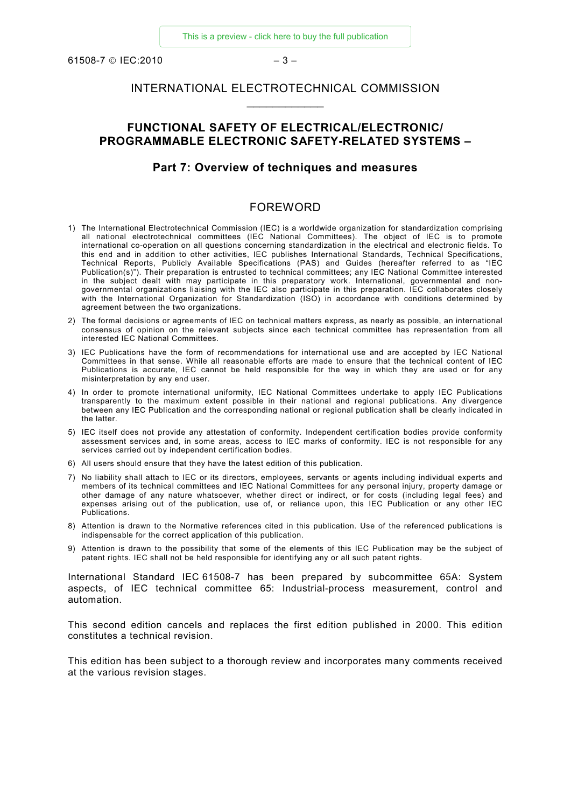<span id="page-2-0"></span>61508-7 © IFC:2010 – 3 –

# INTERNATIONAL ELECTROTECHNICAL COMMISSION  $\frac{1}{2}$  ,  $\frac{1}{2}$  ,  $\frac{1}{2}$  ,  $\frac{1}{2}$  ,  $\frac{1}{2}$  ,  $\frac{1}{2}$

# **FUNCTIONAL SAFETY OF ELECTRICAL/ELECTRONIC/ PROGRAMMABLE ELECTRONIC SAFETY-RELATED SYSTEMS –**

### **Part 7: Overview of techniques and measures**

## FOREWORD

- 1) The International Electrotechnical Commission (IEC) is a worldwide organization for standardization comprising all national electrotechnical committees (IEC National Committees). The object of IEC is to promote international co-operation on all questions concerning standardization in the electrical and electronic fields. To this end and in addition to other activities, IEC publishes International Standards, Technical Specifications, Technical Reports, Publicly Available Specifications (PAS) and Guides (hereafter referred to as "IEC Publication(s)"). Their preparation is entrusted to technical committees; any IEC National Committee interested in the subject dealt with may participate in this preparatory work. International, governmental and nongovernmental organizations liaising with the IEC also participate in this preparation. IEC collaborates closely with the International Organization for Standardization (ISO) in accordance with conditions determined by agreement between the two organizations.
- 2) The formal decisions or agreements of IEC on technical matters express, as nearly as possible, an international consensus of opinion on the relevant subjects since each technical committee has representation from all interested IEC National Committees.
- 3) IEC Publications have the form of recommendations for international use and are accepted by IEC National Committees in that sense. While all reasonable efforts are made to ensure that the technical content of IEC Publications is accurate, IEC cannot be held responsible for the way in which they are used or for any misinterpretation by any end user.
- 4) In order to promote international uniformity, IEC National Committees undertake to apply IEC Publications transparently to the maximum extent possible in their national and regional publications. Any divergence between any IEC Publication and the corresponding national or regional publication shall be clearly indicated in the latter.
- 5) IEC itself does not provide any attestation of conformity. Independent certification bodies provide conformity assessment services and, in some areas, access to IEC marks of conformity. IEC is not responsible for any services carried out by independent certification bodies.
- 6) All users should ensure that they have the latest edition of this publication.
- 7) No liability shall attach to IEC or its directors, employees, servants or agents including individual experts and members of its technical committees and IEC National Committees for any personal injury, property damage or other damage of any nature whatsoever, whether direct or indirect, or for costs (including legal fees) and expenses arising out of the publication, use of, or reliance upon, this IEC Publication or any other IEC Publications.
- 8) Attention is drawn to the Normative references cited in this publication. Use of the referenced publications is indispensable for the correct application of this publication.
- 9) Attention is drawn to the possibility that some of the elements of this IEC Publication may be the subject of patent rights. IEC shall not be held responsible for identifying any or all such patent rights.

International Standard IEC 61508-7 has been prepared by subcommittee 65A: System aspects, of IEC technical committee 65: Industrial-process measurement, control and automation.

This second edition cancels and replaces the first edition published in 2000. This edition constitutes a technical revision.

This edition has been subject to a thorough review and incorporates many comments received at the various revision stages.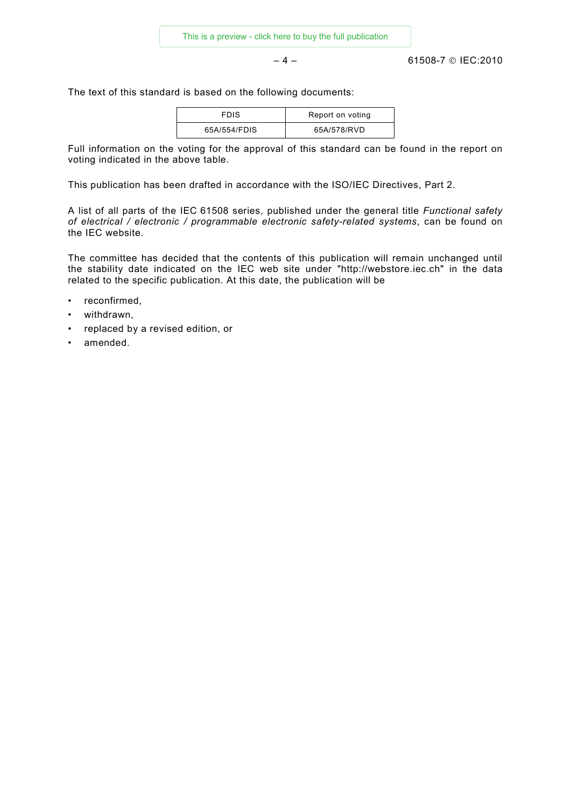$-4 - 61508 - 7 \circ \text{IEC:}2010$ 

The text of this standard is based on the following documents:

| <b>FDIS</b>  | Report on voting |
|--------------|------------------|
| 65A/554/FDIS | 65A/578/RVD      |

Full information on the voting for the approval of this standard can be found in the report on voting indicated in the above table.

This publication has been drafted in accordance with the ISO/IEC Directives, Part 2.

A list of all parts of the IEC 61508 series, published under the general title *Functional safety of electrical / electronic / programmable electronic safety-related systems*, can be found on the IEC website.

The committee has decided that the contents of this publication will remain unchanged until the stability date indicated on the IEC web site under "http://webstore.iec.ch" in the data related to the specific publication. At this date, the publication will be

- reconfirmed,
- withdrawn,
- replaced by a revised edition, or
- amended.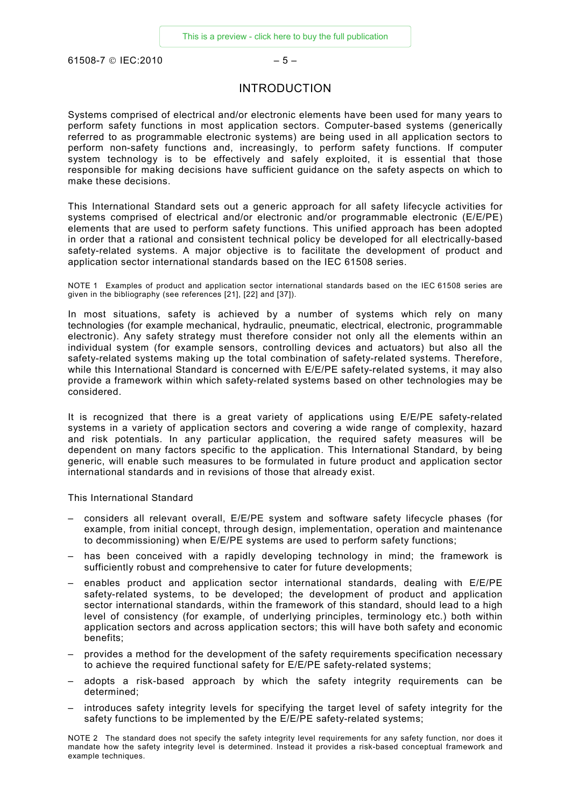<span id="page-4-0"></span>61508-7 © IFC:2010 – 5 –

# INTRODUCTION

Systems comprised of electrical and/or electronic elements have been used for many years to perform safety functions in most application sectors. Computer-based systems (generically referred to as programmable electronic systems) are being used in all application sectors to perform non-safety functions and, increasingly, to perform safety functions. If computer system technology is to be effectively and safely exploited, it is essential that those responsible for making decisions have sufficient guidance on the safety aspects on which to make these decisions.

This International Standard sets out a generic approach for all safety lifecycle activities for systems comprised of electrical and/or electronic and/or programmable electronic (E/E/PE) elements that are used to perform safety functions. This unified approach has been adopted in order that a rational and consistent technical policy be developed for all electrically-based safety-related systems. A major objective is to facilitate the development of product and application sector international standards based on the IEC 61508 series.

NOTE 1 Examples of product and application sector international standards based on the IEC 61508 series are given in the bibliography (see references [21], [22] and [37]).

In most situations, safety is achieved by a number of systems which rely on many technologies (for example mechanical, hydraulic, pneumatic, electrical, electronic, programmable electronic). Any safety strategy must therefore consider not only all the elements within an individual system (for example sensors, controlling devices and actuators) but also all the safety-related systems making up the total combination of safety-related systems. Therefore, while this International Standard is concerned with E/E/PE safety-related systems, it may also provide a framework within which safety-related systems based on other technologies may be considered.

It is recognized that there is a great variety of applications using E/E/PE safety-related systems in a variety of application sectors and covering a wide range of complexity, hazard and risk potentials. In any particular application, the required safety measures will be dependent on many factors specific to the application. This International Standard, by being generic, will enable such measures to be formulated in future product and application sector international standards and in revisions of those that already exist.

This International Standard

- considers all relevant overall, E/E/PE system and software safety lifecycle phases (for example, from initial concept, through design, implementation, operation and maintenance to decommissioning) when E/E/PE systems are used to perform safety functions;
- has been conceived with a rapidly developing technology in mind; the framework is sufficiently robust and comprehensive to cater for future developments;
- enables product and application sector international standards, dealing with E/E/PE safety-related systems, to be developed; the development of product and application sector international standards, within the framework of this standard, should lead to a high level of consistency (for example, of underlying principles, terminology etc.) both within application sectors and across application sectors; this will have both safety and economic benefits;
- provides a method for the development of the safety requirements specification necessary to achieve the required functional safety for E/E/PE safety-related systems;
- adopts a risk-based approach by which the safety integrity requirements can be determined;
- introduces safety integrity levels for specifying the target level of safety integrity for the safety functions to be implemented by the E/E/PE safety-related systems;

NOTE 2 The standard does not specify the safety integrity level requirements for any safety function, nor does it mandate how the safety integrity level is determined. Instead it provides a risk-based conceptual framework and example techniques.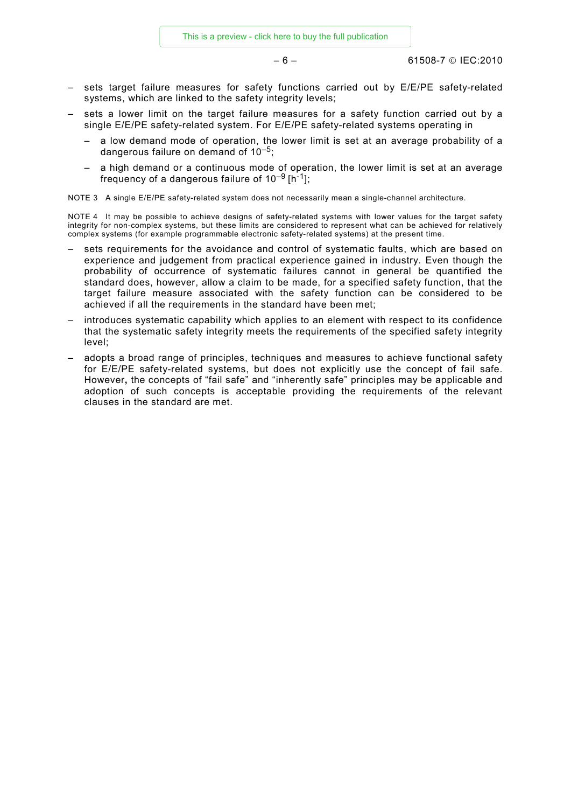- sets target failure measures for safety functions carried out by E/E/PE safety-related systems, which are linked to the safety integrity levels;
- sets a lower limit on the target failure measures for a safety function carried out by a single E/E/PE safety-related system. For E/E/PE safety-related systems operating in
	- a low demand mode of operation, the lower limit is set at an average probability of a dangerous failure on demand of 10–5;
	- a high demand or a continuous mode of operation, the lower limit is set at an average frequency of a dangerous failure of  $10^{-9}$  [h<sup>-1</sup>];
- NOTE 3 A single E/E/PE safety-related system does not necessarily mean a single-channel architecture.

NOTE 4 It may be possible to achieve designs of safety-related systems with lower values for the target safety integrity for non-complex systems, but these limits are considered to represent what can be achieved for relatively complex systems (for example programmable electronic safety-related systems) at the present time.

- sets requirements for the avoidance and control of systematic faults, which are based on experience and judgement from practical experience gained in industry. Even though the probability of occurrence of systematic failures cannot in general be quantified the standard does, however, allow a claim to be made, for a specified safety function, that the target failure measure associated with the safety function can be considered to be achieved if all the requirements in the standard have been met;
- introduces systematic capability which applies to an element with respect to its confidence that the systematic safety integrity meets the requirements of the specified safety integrity level;
- adopts a broad range of principles, techniques and measures to achieve functional safety for E/E/PE safety-related systems, but does not explicitly use the concept of fail safe. However**,** the concepts of "fail safe" and "inherently safe" principles may be applicable and adoption of such concepts is acceptable providing the requirements of the relevant clauses in the standard are met.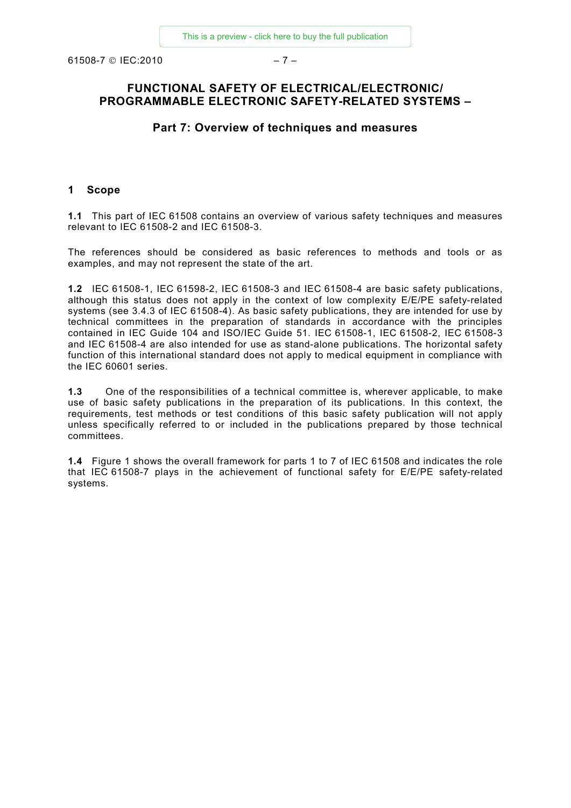<span id="page-6-0"></span> $61508 - 7$  © IFC: 2010 – 7 –

# **FUNCTIONAL SAFETY OF ELECTRICAL/ELECTRONIC/ PROGRAMMABLE ELECTRONIC SAFETY-RELATED SYSTEMS –**

# **Part 7: Overview of techniques and measures**

### **1 Scope**

**1.1** This part of IEC 61508 contains an overview of various safety techniques and measures relevant to IEC 61508-2 and IEC 61508-3.

The references should be considered as basic references to methods and tools or as examples, and may not represent the state of the art.

**1.2** IEC 61508-1, IEC 61598-2, IEC 61508-3 and IEC 61508-4 are basic safety publications, although this status does not apply in the context of low complexity E/E/PE safety-related systems (see 3.4.3 of IEC 61508-4). As basic safety publications, they are intended for use by technical committees in the preparation of standards in accordance with the principles contained in IEC Guide 104 and ISO/IEC Guide 51. IEC 61508-1, IEC 61508-2, IEC 61508-3 and IEC 61508-4 are also intended for use as stand-alone publications. The horizontal safety function of this international standard does not apply to medical equipment in compliance with the IEC 60601 series.

**1.3** One of the responsibilities of a technical committee is, wherever applicable, to make use of basic safety publications in the preparation of its publications. In this context, the requirements, test methods or test conditions of this basic safety publication will not apply unless specifically referred to or included in the publications prepared by those technical committees.

**1.4** Figure 1 shows the overall framework for parts 1 to 7 of IEC 61508 and indicates the role that IEC 61508-7 plays in the achievement of functional safety for E/E/PE safety-related systems.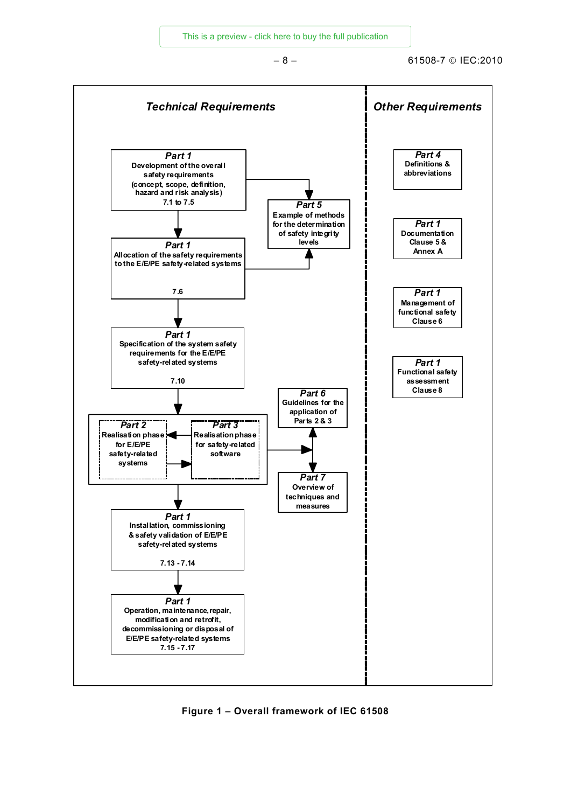[This is a preview - click here to buy the full publication](https://webstore.iec.ch/publication/5521&preview=1)

<span id="page-7-0"></span>

**Figure 1 – Overall framework of IEC 61508**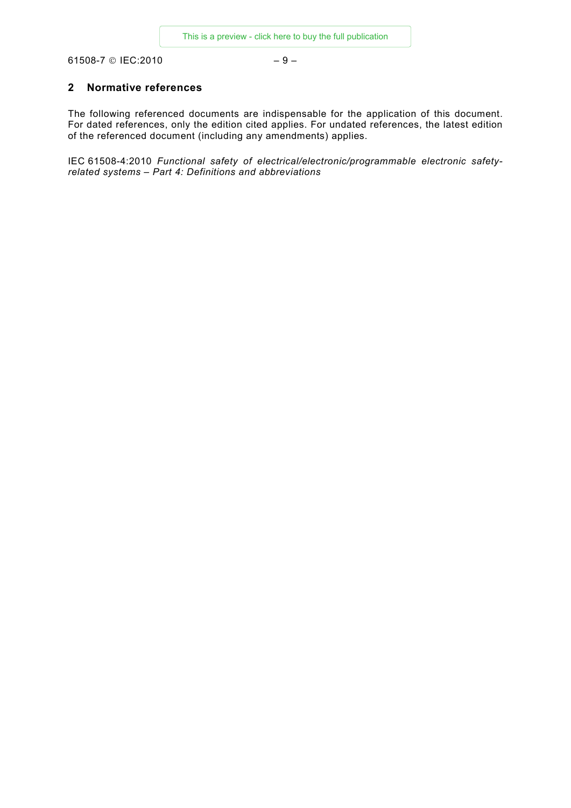<span id="page-8-0"></span>61508-7 © IEC:2010  $-9-$ 

# **2 Normative references**

The following referenced documents are indispensable for the application of this document. For dated references, only the edition cited applies. For undated references, the latest edition of the referenced document (including any amendments) applies.

IEC 61508-4:2010 *Functional safety of electrical/electronic/programmable electronic safetyrelated systems – Part 4: Definitions and abbreviations*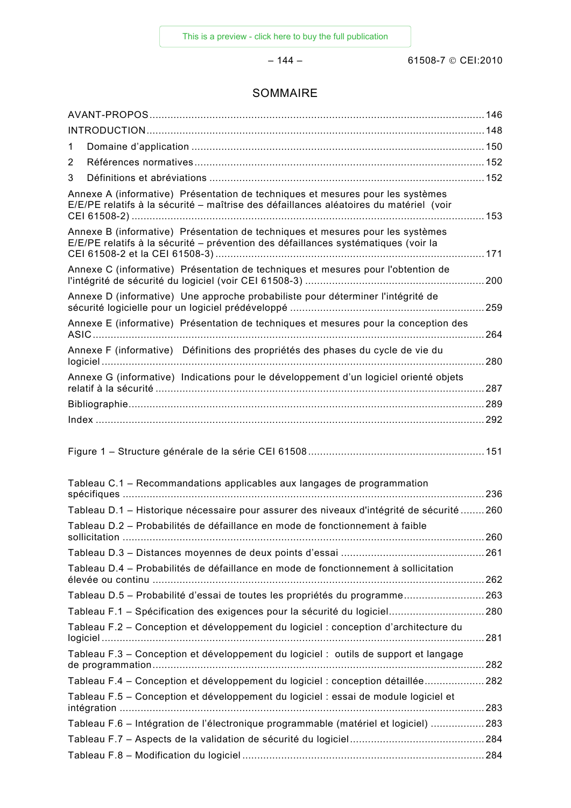# SOMMAIRE

| 1 |                                                                                                                                                                          |  |
|---|--------------------------------------------------------------------------------------------------------------------------------------------------------------------------|--|
| 2 |                                                                                                                                                                          |  |
| 3 |                                                                                                                                                                          |  |
|   | Annexe A (informative) Présentation de techniques et mesures pour les systèmes<br>E/E/PE relatifs à la sécurité - maîtrise des défaillances aléatoires du matériel (voir |  |
|   | Annexe B (informative) Présentation de techniques et mesures pour les systèmes<br>E/E/PE relatifs à la sécurité - prévention des défaillances systématiques (voir la     |  |
|   | Annexe C (informative) Présentation de techniques et mesures pour l'obtention de                                                                                         |  |
|   | Annexe D (informative) Une approche probabiliste pour déterminer l'intégrité de                                                                                          |  |
|   | Annexe E (informative) Présentation de techniques et mesures pour la conception des                                                                                      |  |
|   | Annexe F (informative) Définitions des propriétés des phases du cycle de vie du                                                                                          |  |
|   | Annexe G (informative) Indications pour le développement d'un logiciel orienté objets                                                                                    |  |
|   |                                                                                                                                                                          |  |
|   |                                                                                                                                                                          |  |
|   |                                                                                                                                                                          |  |
|   |                                                                                                                                                                          |  |
|   | Tableau C.1 - Recommandations applicables aux langages de programmation                                                                                                  |  |
|   | Tableau D.1 - Historique nécessaire pour assurer des niveaux d'intégrité de sécurité  260                                                                                |  |
|   | Tableau D.2 - Probabilités de défaillance en mode de fonctionnement à faible                                                                                             |  |
|   |                                                                                                                                                                          |  |
|   | Tableau D.4 - Probabilités de défaillance en mode de fonctionnement à sollicitation                                                                                      |  |
|   | Tableau D.5 - Probabilité d'essai de toutes les propriétés du programme263                                                                                               |  |
|   |                                                                                                                                                                          |  |
|   | Tableau F.2 – Conception et développement du logiciel : conception d'architecture du                                                                                     |  |
|   | Tableau F.3 - Conception et développement du logiciel : outils de support et langage                                                                                     |  |
|   | Tableau F.4 - Conception et développement du logiciel : conception détaillée282                                                                                          |  |
|   | Tableau F.5 – Conception et développement du logiciel : essai de module logiciel et                                                                                      |  |
|   | Tableau F.6 - Intégration de l'électronique programmable (matériel et logiciel) 283                                                                                      |  |
|   |                                                                                                                                                                          |  |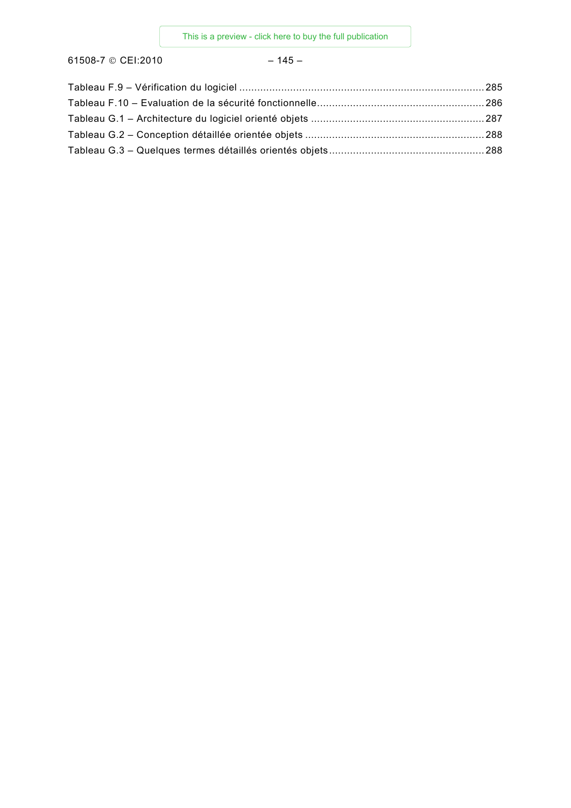61508-7 © CEI:2010 – 145 –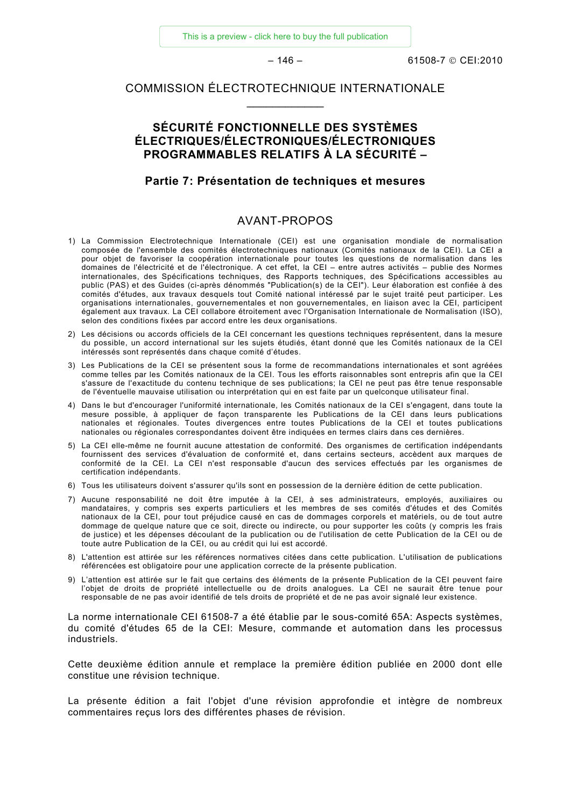[This is a preview - click here to buy the full publication](https://webstore.iec.ch/publication/5521&preview=1)

– 146 – 61508-7 © CEI:2010

# <span id="page-11-0"></span>COMMISSION ÉLECTROTECHNIQUE INTERNATIONALE  $\frac{1}{2}$  ,  $\frac{1}{2}$  ,  $\frac{1}{2}$  ,  $\frac{1}{2}$  ,  $\frac{1}{2}$  ,  $\frac{1}{2}$

# **SÉCURITÉ FONCTIONNELLE DES SYSTÈMES ÉLECTRIQUES/ÉLECTRONIQUES/ÉLECTRONIQUES PROGRAMMABLES RELATIFS À LA SÉCURITÉ –**

## **Partie 7: Présentation de techniques et mesures**

# AVANT-PROPOS

- 1) La Commission Electrotechnique Internationale (CEI) est une organisation mondiale de normalisation composée de l'ensemble des comités électrotechniques nationaux (Comités nationaux de la CEI). La CEI a pour objet de favoriser la coopération internationale pour toutes les questions de normalisation dans les domaines de l'électricité et de l'électronique. A cet effet, la CEI – entre autres activités – publie des Normes internationales, des Spécifications techniques, des Rapports techniques, des Spécifications accessibles au public (PAS) et des Guides (ci-après dénommés "Publication(s) de la CEI"). Leur élaboration est confiée à des comités d'études, aux travaux desquels tout Comité national intéressé par le sujet traité peut participer. Les organisations internationales, gouvernementales et non gouvernementales, en liaison avec la CEI, participent également aux travaux. La CEI collabore étroitement avec l'Organisation Internationale de Normalisation (ISO), selon des conditions fixées par accord entre les deux organisations.
- 2) Les décisions ou accords officiels de la CEI concernant les questions techniques représentent, dans la mesure du possible, un accord international sur les sujets étudiés, étant donné que les Comités nationaux de la CEI intéressés sont représentés dans chaque comité d'études.
- 3) Les Publications de la CEI se présentent sous la forme de recommandations internationales et sont agréées comme telles par les Comités nationaux de la CEI. Tous les efforts raisonnables sont entrepris afin que la CEI s'assure de l'exactitude du contenu technique de ses publications; la CEI ne peut pas être tenue responsable de l'éventuelle mauvaise utilisation ou interprétation qui en est faite par un quelconque utilisateur final.
- 4) Dans le but d'encourager l'uniformité internationale, les Comités nationaux de la CEI s'engagent, dans toute la mesure possible, à appliquer de façon transparente les Publications de la CEI dans leurs publications nationales et régionales. Toutes divergences entre toutes Publications de la CEI et toutes publications nationales ou régionales correspondantes doivent être indiquées en termes clairs dans ces dernières.
- 5) La CEI elle-même ne fournit aucune attestation de conformité. Des organismes de certification indépendants fournissent des services d'évaluation de conformité et, dans certains secteurs, accèdent aux marques de conformité de la CEI. La CEI n'est responsable d'aucun des services effectués par les organismes de certification indépendants.
- 6) Tous les utilisateurs doivent s'assurer qu'ils sont en possession de la dernière édition de cette publication.
- 7) Aucune responsabilité ne doit être imputée à la CEI, à ses administrateurs, employés, auxiliaires ou mandataires, y compris ses experts particuliers et les membres de ses comités d'études et des Comités nationaux de la CEI, pour tout préjudice causé en cas de dommages corporels et matériels, ou de tout autre dommage de quelque nature que ce soit, directe ou indirecte, ou pour supporter les coûts (y compris les frais de justice) et les dépenses découlant de la publication ou de l'utilisation de cette Publication de la CEI ou de toute autre Publication de la CEI, ou au crédit qui lui est accordé.
- 8) L'attention est attirée sur les références normatives citées dans cette publication. L'utilisation de publications référencées est obligatoire pour une application correcte de la présente publication.
- 9) L'attention est attirée sur le fait que certains des éléments de la présente Publication de la CEI peuvent faire l'objet de droits de propriété intellectuelle ou de droits analogues. La CEI ne saurait être tenue pour responsable de ne pas avoir identifié de tels droits de propriété et de ne pas avoir signalé leur existence.

La norme internationale CEI 61508-7 a été établie par le sous-comité 65A: Aspects systèmes, du comité d'études 65 de la CEI: Mesure, commande et automation dans les processus industriels.

Cette deuxième édition annule et remplace la première édition publiée en 2000 dont elle constitue une révision technique.

La présente édition a fait l'objet d'une révision approfondie et intègre de nombreux commentaires reçus lors des différentes phases de révision.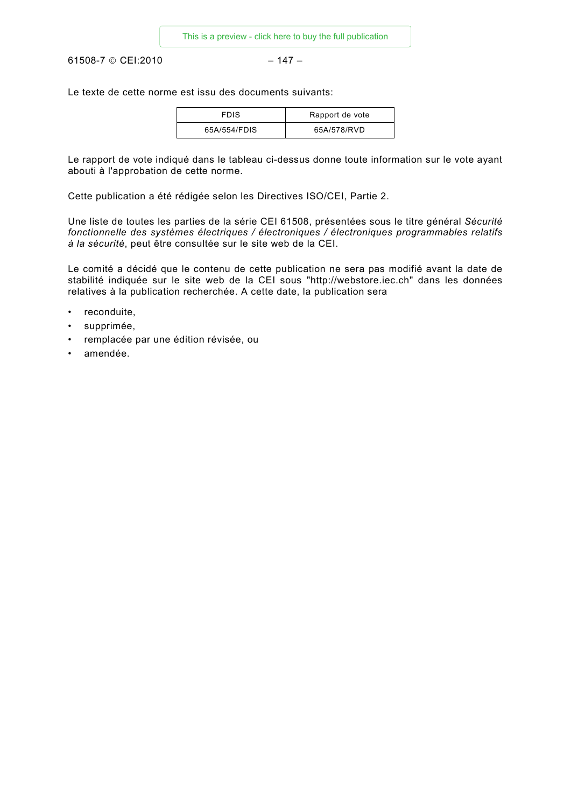61508-7 © CEI:2010 – 147 –

Le texte de cette norme est issu des documents suivants:

| <b>FDIS</b>  | Rapport de vote |
|--------------|-----------------|
| 65A/554/FDIS | 65A/578/RVD     |

Le rapport de vote indiqué dans le tableau ci-dessus donne toute information sur le vote ayant abouti à l'approbation de cette norme.

Cette publication a été rédigée selon les Directives ISO/CEI, Partie 2.

Une liste de toutes les parties de la série CEI 61508, présentées sous le titre général *Sécurité fonctionnelle des systèmes électriques / électroniques / électroniques programmables relatifs à la sécurité*, peut être consultée sur le site web de la CEI.

Le comité a décidé que le contenu de cette publication ne sera pas modifié avant la date de stabilité indiquée sur le site web de la CEI sous "http://webstore.iec.ch" dans les données relatives à la publication recherchée. A cette date, la publication sera

- reconduite,
- supprimée,
- remplacée par une édition révisée, ou
- amendée.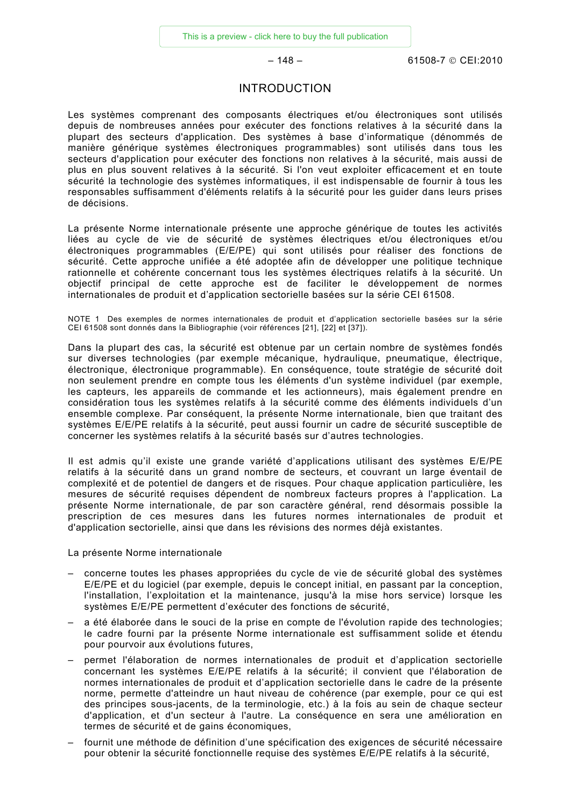– 148 – 61508-7 © CEI:2010

# INTRODUCTION

<span id="page-13-0"></span>Les systèmes comprenant des composants électriques et/ou électroniques sont utilisés depuis de nombreuses années pour exécuter des fonctions relatives à la sécurité dans la plupart des secteurs d'application. Des systèmes à base d'informatique (dénommés de manière générique systèmes électroniques programmables) sont utilisés dans tous les secteurs d'application pour exécuter des fonctions non relatives à la sécurité, mais aussi de plus en plus souvent relatives à la sécurité. Si l'on veut exploiter efficacement et en toute sécurité la technologie des systèmes informatiques, il est indispensable de fournir à tous les responsables suffisamment d'éléments relatifs à la sécurité pour les guider dans leurs prises de décisions.

La présente Norme internationale présente une approche générique de toutes les activités liées au cycle de vie de sécurité de systèmes électriques et/ou électroniques et/ou électroniques programmables (E/E/PE) qui sont utilisés pour réaliser des fonctions de sécurité. Cette approche unifiée a été adoptée afin de développer une politique technique rationnelle et cohérente concernant tous les systèmes électriques relatifs à la sécurité. Un objectif principal de cette approche est de faciliter le développement de normes internationales de produit et d'application sectorielle basées sur la série CEI 61508.

NOTE 1 Des exemples de normes internationales de produit et d'application sectorielle basées sur la série CEI 61508 sont donnés dans la Bibliographie (voir références [21], [22] et [37]).

Dans la plupart des cas, la sécurité est obtenue par un certain nombre de systèmes fondés sur diverses technologies (par exemple mécanique, hydraulique, pneumatique, électrique, électronique, électronique programmable). En conséquence, toute stratégie de sécurité doit non seulement prendre en compte tous les éléments d'un système individuel (par exemple, les capteurs, les appareils de commande et les actionneurs), mais également prendre en considération tous les systèmes relatifs à la sécurité comme des éléments individuels d'un ensemble complexe. Par conséquent, la présente Norme internationale, bien que traitant des systèmes E/E/PE relatifs à la sécurité, peut aussi fournir un cadre de sécurité susceptible de concerner les systèmes relatifs à la sécurité basés sur d'autres technologies.

Il est admis qu'il existe une grande variété d'applications utilisant des systèmes E/E/PE relatifs à la sécurité dans un grand nombre de secteurs, et couvrant un large éventail de complexité et de potentiel de dangers et de risques. Pour chaque application particulière, les mesures de sécurité requises dépendent de nombreux facteurs propres à l'application. La présente Norme internationale, de par son caractère général, rend désormais possible la prescription de ces mesures dans les futures normes internationales de produit et d'application sectorielle, ainsi que dans les révisions des normes déjà existantes.

La présente Norme internationale

- concerne toutes les phases appropriées du cycle de vie de sécurité global des systèmes E/E/PE et du logiciel (par exemple, depuis le concept initial, en passant par la conception, l'installation, l'exploitation et la maintenance, jusqu'à la mise hors service) lorsque les systèmes E/E/PE permettent d'exécuter des fonctions de sécurité,
- a été élaborée dans le souci de la prise en compte de l'évolution rapide des technologies; le cadre fourni par la présente Norme internationale est suffisamment solide et étendu pour pourvoir aux évolutions futures,
- permet l'élaboration de normes internationales de produit et d'application sectorielle concernant les systèmes E/E/PE relatifs à la sécurité; il convient que l'élaboration de normes internationales de produit et d'application sectorielle dans le cadre de la présente norme, permette d'atteindre un haut niveau de cohérence (par exemple, pour ce qui est des principes sous-jacents, de la terminologie, etc.) à la fois au sein de chaque secteur d'application, et d'un secteur à l'autre. La conséquence en sera une amélioration en termes de sécurité et de gains économiques,
- fournit une méthode de définition d'une spécification des exigences de sécurité nécessaire pour obtenir la sécurité fonctionnelle requise des systèmes E/E/PE relatifs à la sécurité,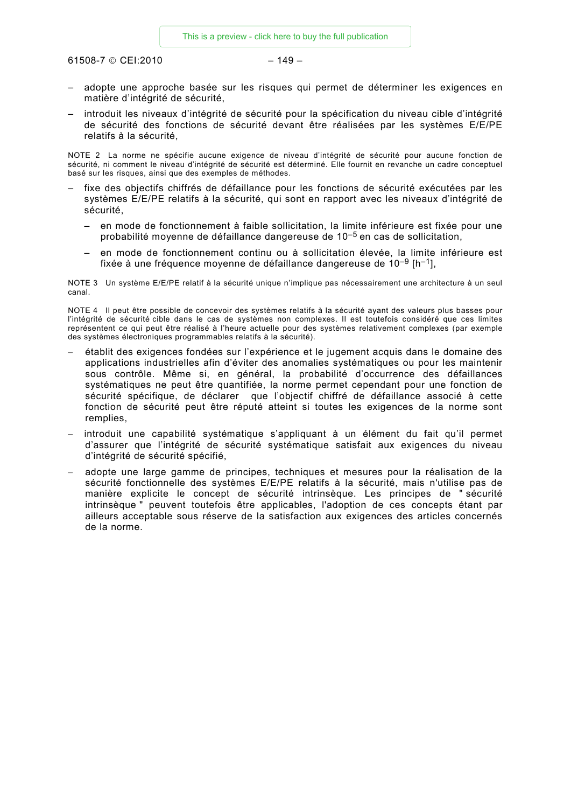$61508 - 7 \circ \text{CE}$ 1:2010 – 149 –

- adopte une approche basée sur les risques qui permet de déterminer les exigences en matière d'intégrité de sécurité,
- introduit les niveaux d'intégrité de sécurité pour la spécification du niveau cible d'intégrité de sécurité des fonctions de sécurité devant être réalisées par les systèmes E/E/PE relatifs à la sécurité,

NOTE 2 La norme ne spécifie aucune exigence de niveau d'intégrité de sécurité pour aucune fonction de sécurité, ni comment le niveau d'intégrité de sécurité est déterminé. Elle fournit en revanche un cadre conceptuel basé sur les risques, ainsi que des exemples de méthodes.

- fixe des objectifs chiffrés de défaillance pour les fonctions de sécurité exécutées par les systèmes E/E/PE relatifs à la sécurité, qui sont en rapport avec les niveaux d'intégrité de sécurité,
	- en mode de fonctionnement à faible sollicitation, la limite inférieure est fixée pour une probabilité moyenne de défaillance dangereuse de  $10^{-5}$  en cas de sollicitation,
	- en mode de fonctionnement continu ou à sollicitation élevée, la limite inférieure est fixée à une fréquence movenne de défaillance dangereuse de 10<sup>-9</sup> [h<sup>-1</sup>].

NOTE 3 Un système E/E/PE relatif à la sécurité unique n'implique pas nécessairement une architecture à un seul canal.

NOTE 4 Il peut être possible de concevoir des systèmes relatifs à la sécurité ayant des valeurs plus basses pour l'intégrité de sécurité cible dans le cas de systèmes non complexes. Il est toutefois considéré que ces limites représentent ce qui peut être réalisé à l'heure actuelle pour des systèmes relativement complexes (par exemple des systèmes électroniques programmables relatifs à la sécurité).

- établit des exigences fondées sur l'expérience et le jugement acquis dans le domaine des applications industrielles afin d'éviter des anomalies systématiques ou pour les maintenir sous contrôle. Même si, en général, la probabilité d'occurrence des défaillances systématiques ne peut être quantifiée, la norme permet cependant pour une fonction de sécurité spécifique, de déclarer que l'objectif chiffré de défaillance associé à cette fonction de sécurité peut être réputé atteint si toutes les exigences de la norme sont remplies,
- introduit une capabilité systématique s'appliquant à un élément du fait qu'il permet d'assurer que l'intégrité de sécurité systématique satisfait aux exigences du niveau d'intégrité de sécurité spécifié,
- adopte une large gamme de principes, techniques et mesures pour la réalisation de la sécurité fonctionnelle des systèmes E/E/PE relatifs à la sécurité, mais n'utilise pas de manière explicite le concept de sécurité intrinsèque. Les principes de " sécurité intrinsèque " peuvent toutefois être applicables, l'adoption de ces concepts étant par ailleurs acceptable sous réserve de la satisfaction aux exigences des articles concernés de la norme.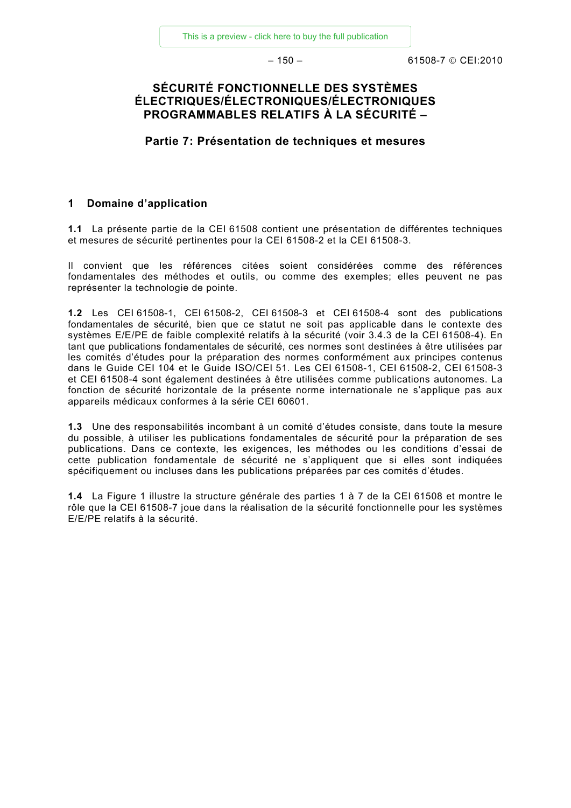– 150 – 61508-7 © CEI:2010

# <span id="page-15-0"></span>**SÉCURITÉ FONCTIONNELLE DES SYSTÈMES ÉLECTRIQUES/ÉLECTRONIQUES/ÉLECTRONIQUES PROGRAMMABLES RELATIFS À LA SÉCURITÉ –**

**Partie 7: Présentation de techniques et mesures** 

# **1 Domaine d'application**

**1.1** La présente partie de la CEI 61508 contient une présentation de différentes techniques et mesures de sécurité pertinentes pour la CEI 61508-2 et la CEI 61508-3.

Il convient que les références citées soient considérées comme des références fondamentales des méthodes et outils, ou comme des exemples; elles peuvent ne pas représenter la technologie de pointe.

**1.2** Les CEI 61508-1, CEI 61508-2, CEI 61508-3 et CEI 61508-4 sont des publications fondamentales de sécurité, bien que ce statut ne soit pas applicable dans le contexte des systèmes E/E/PE de faible complexité relatifs à la sécurité (voir 3.4.3 de la CEI 61508-4). En tant que publications fondamentales de sécurité, ces normes sont destinées à être utilisées par les comités d'études pour la préparation des normes conformément aux principes contenus dans le Guide CEI 104 et le Guide ISO/CEI 51*.* Les CEI 61508-1, CEI 61508-2, CEI 61508-3 et CEI 61508-4 sont également destinées à être utilisées comme publications autonomes. La fonction de sécurité horizontale de la présente norme internationale ne s'applique pas aux appareils médicaux conformes à la série CEI 60601.

**1.3** Une des responsabilités incombant à un comité d'études consiste, dans toute la mesure du possible, à utiliser les publications fondamentales de sécurité pour la préparation de ses publications. Dans ce contexte, les exigences, les méthodes ou les conditions d'essai de cette publication fondamentale de sécurité ne s'appliquent que si elles sont indiquées spécifiquement ou incluses dans les publications préparées par ces comités d'études.

**1.4** La Figure 1 illustre la structure générale des parties 1 à 7 de la CEI 61508 et montre le rôle que la CEI 61508-7 joue dans la réalisation de la sécurité fonctionnelle pour les systèmes E/E/PE relatifs à la sécurité.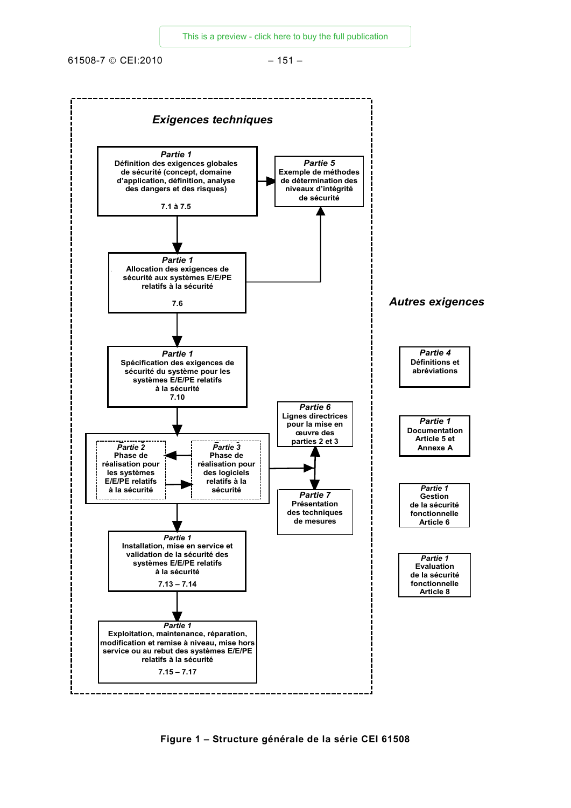61508-7 © CEI:2010 – 151 –

<span id="page-16-0"></span>

**Figure 1 – Structure générale de la série CEI 61508**